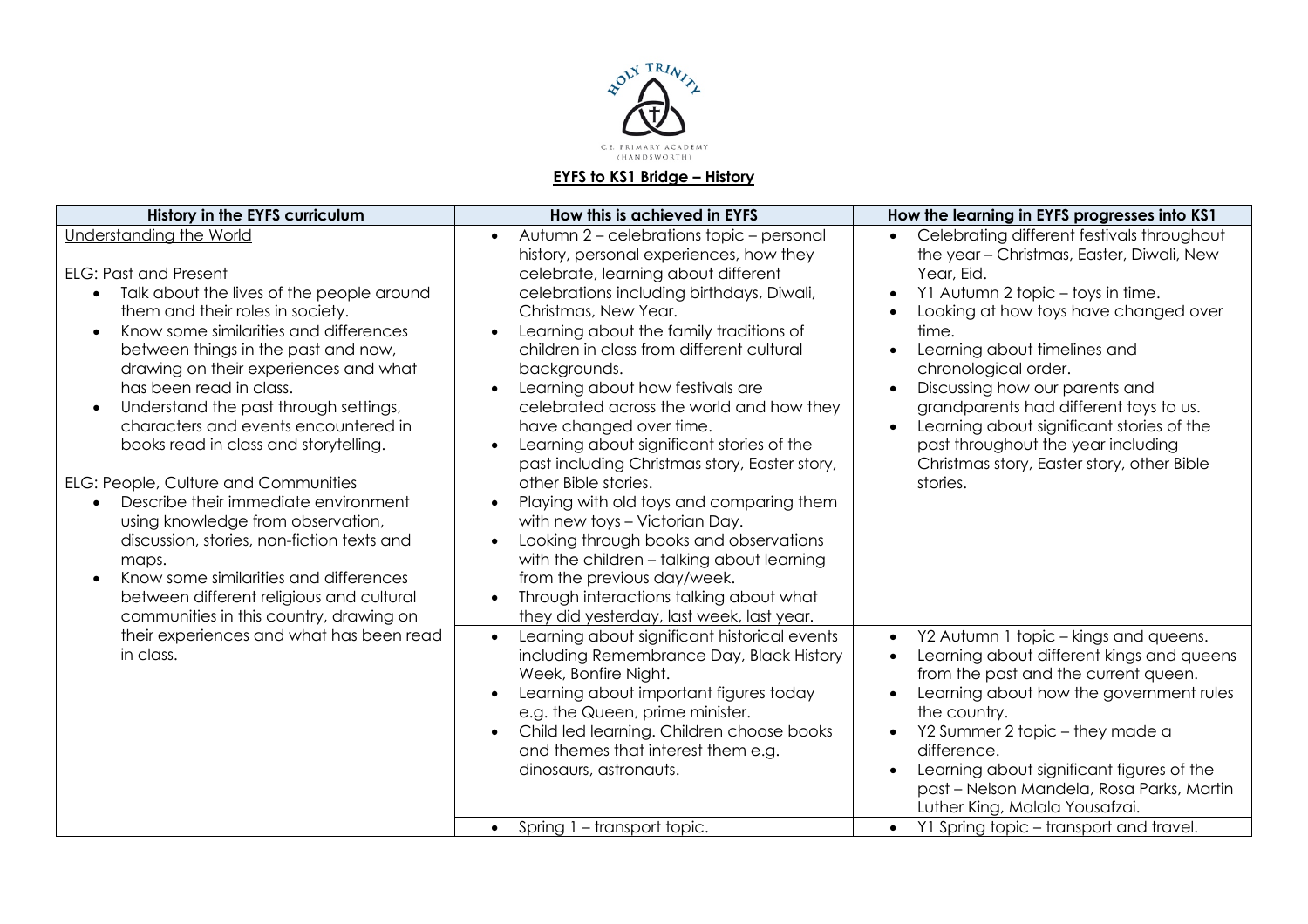

## **EYFS to KS1 Bridge – History**

| History in the EYFS curriculum                                                                                                                                                                                                                                                                                                                                                                                                                                                                                                                                                                                                                                                                                                                                                                  | How this is achieved in EYFS                                                                                                                                                                                                                                                                                                                                                                                                                                                                                                                                                                                                                                                                                                                                                                                                                       | How the learning in EYFS progresses into KS1                                                                                                                                                                                                                                                                                                                                                                                                                                                                                      |
|-------------------------------------------------------------------------------------------------------------------------------------------------------------------------------------------------------------------------------------------------------------------------------------------------------------------------------------------------------------------------------------------------------------------------------------------------------------------------------------------------------------------------------------------------------------------------------------------------------------------------------------------------------------------------------------------------------------------------------------------------------------------------------------------------|----------------------------------------------------------------------------------------------------------------------------------------------------------------------------------------------------------------------------------------------------------------------------------------------------------------------------------------------------------------------------------------------------------------------------------------------------------------------------------------------------------------------------------------------------------------------------------------------------------------------------------------------------------------------------------------------------------------------------------------------------------------------------------------------------------------------------------------------------|-----------------------------------------------------------------------------------------------------------------------------------------------------------------------------------------------------------------------------------------------------------------------------------------------------------------------------------------------------------------------------------------------------------------------------------------------------------------------------------------------------------------------------------|
| <b>Understanding the World</b><br><b>ELG: Past and Present</b><br>Talk about the lives of the people around<br>them and their roles in society.<br>Know some similarities and differences<br>$\bullet$<br>between things in the past and now,<br>drawing on their experiences and what<br>has been read in class.<br>Understand the past through settings,<br>$\bullet$<br>characters and events encountered in<br>books read in class and storytelling.<br>ELG: People, Culture and Communities<br>Describe their immediate environment<br>$\bullet$<br>using knowledge from observation,<br>discussion, stories, non-fiction texts and<br>maps.<br>Know some similarities and differences<br>$\bullet$<br>between different religious and cultural<br>communities in this country, drawing on | Autumn 2 - celebrations topic - personal<br>$\bullet$<br>history, personal experiences, how they<br>celebrate, learning about different<br>celebrations including birthdays, Diwali,<br>Christmas, New Year.<br>Learning about the family traditions of<br>children in class from different cultural<br>backgrounds.<br>Learning about how festivals are<br>celebrated across the world and how they<br>have changed over time.<br>Learning about significant stories of the<br>past including Christmas story, Easter story,<br>other Bible stories.<br>Playing with old toys and comparing them<br>with new toys - Victorian Day.<br>Looking through books and observations<br>with the children - talking about learning<br>from the previous day/week.<br>Through interactions talking about what<br>they did yesterday, last week, last year. | Celebrating different festivals throughout<br>$\bullet$<br>the year - Christmas, Easter, Diwali, New<br>Year, Eid.<br>Y1 Autumn 2 topic - toys in time.<br>$\bullet$<br>Looking at how toys have changed over<br>$\bullet$<br>time.<br>Learning about timelines and<br>$\bullet$<br>chronological order.<br>Discussing how our parents and<br>grandparents had different toys to us.<br>Learning about significant stories of the<br>past throughout the year including<br>Christmas story, Easter story, other Bible<br>stories. |
| their experiences and what has been read<br>in class.                                                                                                                                                                                                                                                                                                                                                                                                                                                                                                                                                                                                                                                                                                                                           | Learning about significant historical events<br>$\bullet$<br>including Remembrance Day, Black History<br>Week, Bonfire Night.<br>Learning about important figures today<br>e.g. the Queen, prime minister.<br>Child led learning. Children choose books<br>and themes that interest them e.g.<br>dinosaurs, astronauts.                                                                                                                                                                                                                                                                                                                                                                                                                                                                                                                            | Y2 Autumn 1 topic – kings and queens.<br>$\bullet$<br>Learning about different kings and queens<br>$\bullet$<br>from the past and the current queen.<br>Learning about how the government rules<br>the country.<br>Y2 Summer 2 topic - they made a<br>difference.<br>Learning about significant figures of the<br>past - Nelson Mandela, Rosa Parks, Martin<br>Luther King, Malala Yousafzai.                                                                                                                                     |
|                                                                                                                                                                                                                                                                                                                                                                                                                                                                                                                                                                                                                                                                                                                                                                                                 | Spring 1 - transport topic.<br>$\bullet$                                                                                                                                                                                                                                                                                                                                                                                                                                                                                                                                                                                                                                                                                                                                                                                                           | Y1 Spring topic - transport and travel.<br>$\bullet$                                                                                                                                                                                                                                                                                                                                                                                                                                                                              |